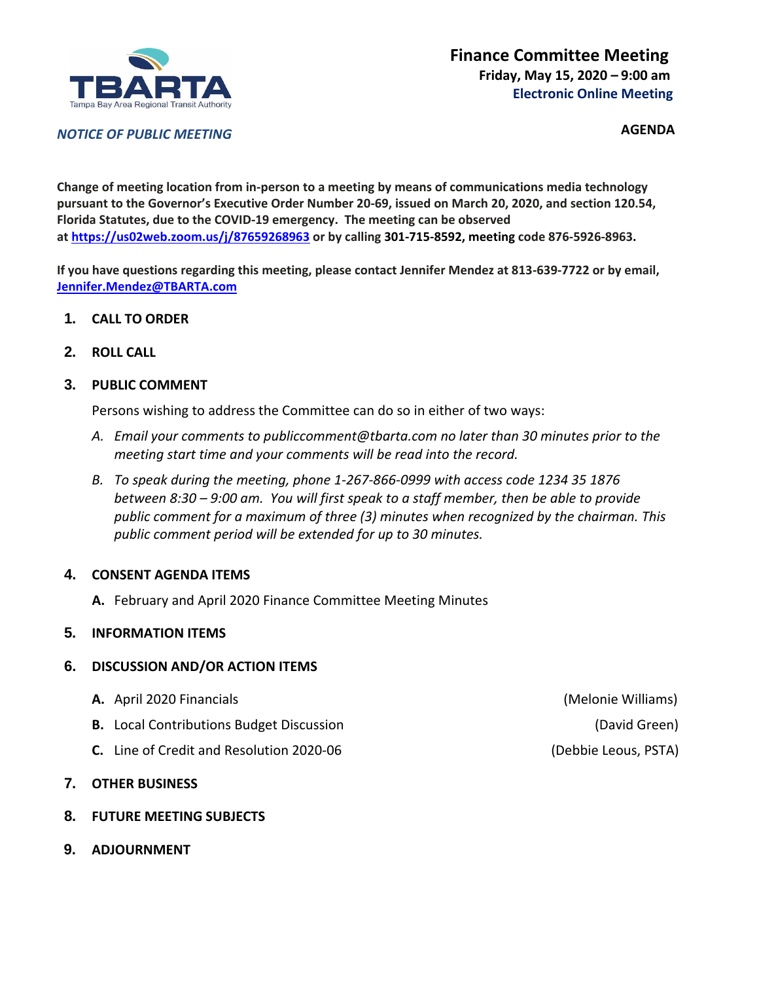

#### *NOTICE OF PUBLIC MEETING*

 **AGENDA**

**Change of meeting location from in-person to a meeting by means of communications media technology pursuant to the Governor's Executive Order Number 20-69, issued on March 20, 2020, and section 120.54, Florida Statutes, due to the COVID-19 emergency. The meeting can be observed at <https://us02web.zoom.us/j/87659268963> or by calling 301-715-8592, meeting code 876-5926-8963.**

**If you have questions regarding this meeting, please contact Jennifer Mendez at 813-639-7722 or by email, [Jennifer.Mendez@TBARTA.com](mailto:Jennifer.Mendez@TBARTA.com)**

- **1. CALL TO ORDER**
- **2. ROLL CALL**

## **3. PUBLIC COMMENT**

Persons wishing to address the Committee can do so in either of two ways:

- *A. Email your comments to publiccomment@tbarta.com no later than 30 minutes prior to the meeting start time and your comments will be read into the record.*
- *B. To speak during the meeting, phone 1-267-866-0999 with access code 1234 35 1876 between 8:30 – 9:00 am. You will first speak to a staff member, then be able to provide public comment for a maximum of three (3) minutes when recognized by the chairman. This public comment period will be extended for up to 30 minutes.*

## **4. CONSENT AGENDA ITEMS**

**A.** February and April 2020 Finance Committee Meeting Minutes

## **5. INFORMATION ITEMS**

### **6. DISCUSSION AND/OR ACTION ITEMS**

**A.** April 2020 Financials **A.** April 2020 Financials **A.** April 2020 Financials **A.** April 2020 Financials **A.** April 2020 Financials **A.** April 2020 Financials **A.** April 2020 Financials **A.** April 2020 Financials **A.** A **B.** Local Contributions Budget Discussion **B. Example 20** (David Green) **C.** Line of Credit and Resolution 2020-06 (Debbie Leous, PSTA)

# **7. OTHER BUSINESS**

# **8. FUTURE MEETING SUBJECTS**

**9. ADJOURNMENT**